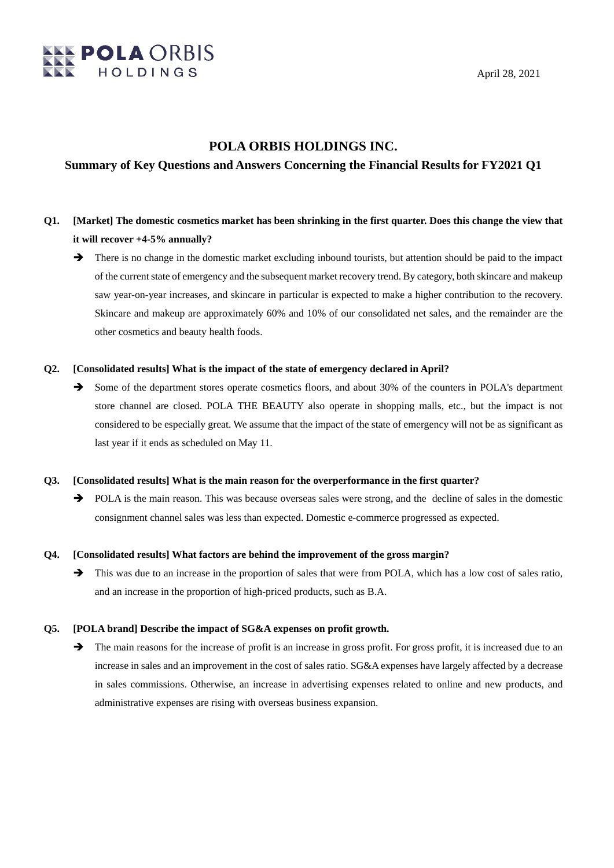

## **POLA ORBIS HOLDINGS INC.**

## **Summary of Key Questions and Answers Concerning the Financial Results for FY2021 Q1**

- **Q1. [Market] The domestic cosmetics market has been shrinking in the first quarter. Does this change the view that it will recover +4-5% annually?**
	- There is no change in the domestic market excluding inbound tourists, but attention should be paid to the impact of the current state of emergency and the subsequent market recovery trend. By category, both skincare and makeup saw year-on-year increases, and skincare in particular is expected to make a higher contribution to the recovery. Skincare and makeup are approximately 60% and 10% of our consolidated net sales, and the remainder are the other cosmetics and beauty health foods.

#### **Q2. [Consolidated results] What is the impact of the state of emergency declared in April?**

Some of the department stores operate cosmetics floors, and about 30% of the counters in POLA's department store channel are closed. POLA THE BEAUTY also operate in shopping malls, etc., but the impact is not considered to be especially great. We assume that the impact of the state of emergency will not be as significant as last year if it ends as scheduled on May 11.

#### **Q3. [Consolidated results] What is the main reason for the overperformance in the first quarter?**

POLA is the main reason. This was because overseas sales were strong, and the decline of sales in the domestic consignment channel sales was less than expected. Domestic e-commerce progressed as expected.

#### **Q4. [Consolidated results] What factors are behind the improvement of the gross margin?**

 $\rightarrow$  This was due to an increase in the proportion of sales that were from POLA, which has a low cost of sales ratio, and an increase in the proportion of high-priced products, such as B.A.

#### **Q5. [POLA brand] Describe the impact of SG&A expenses on profit growth.**

 $\rightarrow$  The main reasons for the increase of profit is an increase in gross profit. For gross profit, it is increased due to an increase in sales and an improvement in the cost of sales ratio. SG&A expenses have largely affected by a decrease in sales commissions. Otherwise, an increase in advertising expenses related to online and new products, and administrative expenses are rising with overseas business expansion.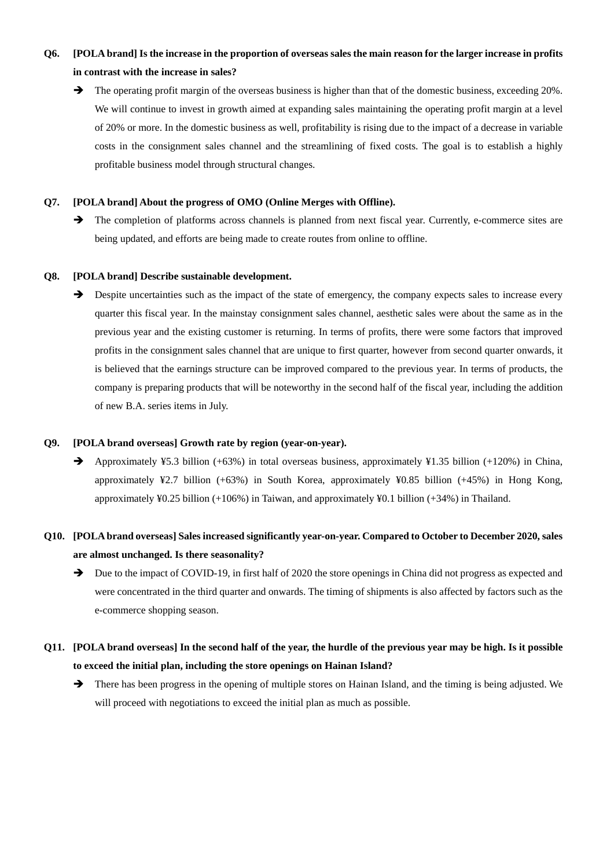# **Q6. [POLA brand] Is the increase in the proportion of overseas sales the main reason for the larger increase in profits in contrast with the increase in sales?**

The operating profit margin of the overseas business is higher than that of the domestic business, exceeding 20%. We will continue to invest in growth aimed at expanding sales maintaining the operating profit margin at a level of 20% or more. In the domestic business as well, profitability is rising due to the impact of a decrease in variable costs in the consignment sales channel and the streamlining of fixed costs. The goal is to establish a highly profitable business model through structural changes.

### **Q7. [POLA brand] About the progress of OMO (Online Merges with Offline).**

 $\rightarrow$  The completion of platforms across channels is planned from next fiscal year. Currently, e-commerce sites are being updated, and efforts are being made to create routes from online to offline.

#### **Q8. [POLA brand] Describe sustainable development.**

 $\rightarrow$  Despite uncertainties such as the impact of the state of emergency, the company expects sales to increase every quarter this fiscal year. In the mainstay consignment sales channel, aesthetic sales were about the same as in the previous year and the existing customer is returning. In terms of profits, there were some factors that improved profits in the consignment sales channel that are unique to first quarter, however from second quarter onwards, it is believed that the earnings structure can be improved compared to the previous year. In terms of products, the company is preparing products that will be noteworthy in the second half of the fiscal year, including the addition of new B.A. series items in July.

#### **Q9. [POLA brand overseas] Growth rate by region (year-on-year).**

Approximately ¥5.3 billion  $(+63%)$  in total overseas business, approximately ¥1.35 billion  $(+120%)$  in China, approximately ¥2.7 billion (+63%) in South Korea, approximately ¥0.85 billion (+45%) in Hong Kong, approximately ¥0.25 billion (+106%) in Taiwan, and approximately ¥0.1 billion (+34%) in Thailand.

# **Q10. [POLA brand overseas] Sales increased significantly year-on-year. Compared to October to December 2020, sales are almost unchanged. Is there seasonality?**

Due to the impact of COVID-19, in first half of 2020 the store openings in China did not progress as expected and were concentrated in the third quarter and onwards. The timing of shipments is also affected by factors such as the e-commerce shopping season.

## **Q11. [POLA brand overseas] In the second half of the year, the hurdle of the previous year may be high. Is it possible to exceed the initial plan, including the store openings on Hainan Island?**

 $\rightarrow$  There has been progress in the opening of multiple stores on Hainan Island, and the timing is being adjusted. We will proceed with negotiations to exceed the initial plan as much as possible.